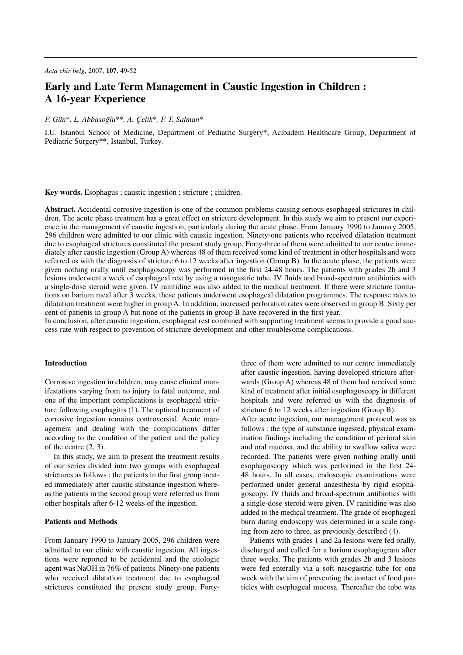# **Early and Late Term Management in Caustic Ingestion in Children : A 16-year Experience**

## *F. Gün*\**, L. Abbasog˘lu*\*\**, A. Çelik*\**, F. T. Salman*\*

I.U. Istanbul School of Medicine, Department of Pediatric Surgery**\***, Acıbadem Healthcare Group, Department of Pediatric Surgery**\*\***, Istanbul, Turkey.

**Key words.** Esophagus ; caustic ingestion ; stricture ; children.

**Abstract.** Accidental corrosive ingestion is one of the common problems causing serious esophageal strictures in children. The acute phase treatment has a great effect on stricture development. In this study we aim to present our experience in the management of caustic ingestion, particularly during the acute phase. From January 1990 to January 2005, 296 children were admitted to our clinic with caustic ingestion. Ninety-one patients who received dilatation treatment due to esophageal strictures constituted the present study group. Forty-three of them were admitted to our centre immediately after caustic ingestion (Group A) whereas 48 of them received some kind of treatment in other hospitals and were referred us with the diagnosis of stricture 6 to 12 weeks after ingestion (Group B). In the acute phase, the patients were given nothing orally until esophagoscopy was performed in the first 24-48 hours. The patients with grades 2b and 3 lesions underwent a week of esophageal rest by using a nasogastric tube. IV fluids and broad-spectrum antibiotics with a single-dose steroid were given. IV ranitidine was also added to the medical treatment. If there were stricture formations on barium meal after 3 weeks, these patients underwent esophageal dilatation programmes. The response rates to dilatation treatment were higher in group A. In addition, increased perforation rates were observed in group B. Sixty per cent of patients in group A but none of the patients in group B have recovered in the first year.

In conclusion, after caustic ingestion, esophageal rest combined with supporting treatment seems to provide a good success rate with respect to prevention of stricture development and other troublesome complications.

## **Introduction**

Corrosive ingestion in children, may cause clinical manifestations varying from no injury to fatal outcome, and one of the important complications is esophageal stricture following esophagitis (1). The optimal treatment of corrosive ingestion remains controversial. Acute management and dealing with the complications differ according to the condition of the patient and the policy of the centre (2, 3).

In this study, we aim to present the treatment results of our series divided into two groups with esophageal strictures as follows ; the patients in the first group treated immediately after caustic substance ingestion whereas the patients in the second group were referred us from other hospitals after 6-12 weeks of the ingestion.

#### **Patients and Methods**

From January 1990 to January 2005, 296 children were admitted to our clinic with caustic ingestion. All ingestions were reported to be accidental and the etiologic agent was NaOH in 76% of patients. Ninety-one patients who received dilatation treatment due to esophageal strictures constituted the present study group. Fortythree of them were admitted to our centre immediately after caustic ingestion, having developed stricture afterwards (Group A) whereas 48 of them had received some kind of treatment after initial esophagoscopy in different hospitals and were referred us with the diagnosis of stricture 6 to 12 weeks after ingestion (Group B). After acute ingestion, our management protocol was as follows : the type of substance ingested, physical examination findings including the condition of perioral skin and oral mucosa, and the ability to swallow saliva were recorded. The patients were given nothing orally until esophagoscopy which was performed in the first 24- 48 hours. In all cases, endoscopic examinations were performed under general anaesthesia by rigid esophagoscopy. IV fluids and broad-spectrum antibiotics with a single-dose steroid were given. IV ranitidine was also added to the medical treatment. The grade of esophageal burn during endoscopy was determined in a scale ranging from zero to three, as previously described (4).

Patients with grades 1 and 2a lesions were fed orally, discharged and called for a barium esophagogram after three weeks. The patients with grades 2b and 3 lesions were fed enterally via a soft nasogastric tube for one week with the aim of preventing the contact of food particles with esophageal mucosa. Thereafter the tube was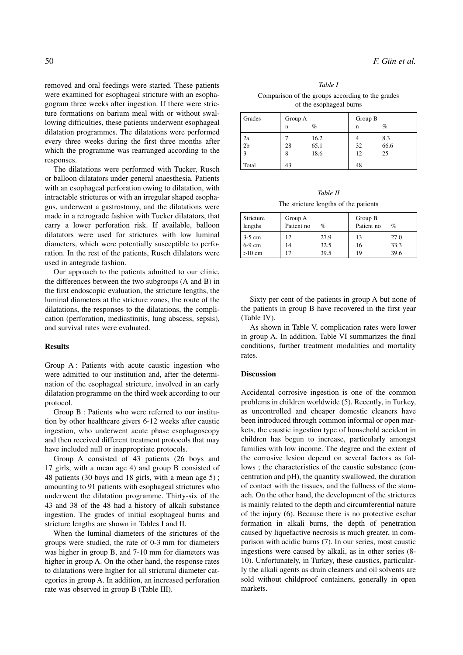removed and oral feedings were started. These patients were examined for esophageal stricture with an esophagogram three weeks after ingestion. If there were stricture formations on barium meal with or without swallowing difficulties, these patients underwent esophageal dilatation programmes. The dilatations were performed every three weeks during the first three months after which the programme was rearranged according to the responses.

The dilatations were performed with Tucker, Rusch or balloon dilatators under general anaesthesia. Patients with an esophageal perforation owing to dilatation, with intractable strictures or with an irregular shaped esophagus, underwent a gastrostomy, and the dilatations were made in a retrograde fashion with Tucker dilatators, that carry a lower perforation risk. If available, balloon dilatators were used for strictures with low luminal diameters, which were potentially susceptible to perforation. In the rest of the patients, Rusch dilalators were used in antegrade fashion.

Our approach to the patients admitted to our clinic, the differences between the two subgroups (A and B) in the first endoscopic evaluation, the stricture lengths, the luminal diameters at the stricture zones, the route of the dilatations, the responses to the dilatations, the complication (perforation, mediastinitis, lung abscess, sepsis), and survival rates were evaluated.

#### **Results**

Group A : Patients with acute caustic ingestion who were admitted to our institution and, after the determination of the esophageal stricture, involved in an early dilatation programme on the third week according to our protocol.

Group B : Patients who were referred to our institution by other healthcare givers 6-12 weeks after caustic ingestion, who underwent acute phase esophagoscopy and then received different treatment protocols that may have included null or inappropriate protocols.

Group A consisted of 43 patients (26 boys and 17 girls, with a mean age 4) and group B consisted of 48 patients (30 boys and 18 girls, with a mean age 5) ; amounting to 91 patients with esophageal strictures who underwent the dilatation programme. Thirty-six of the 43 and 38 of the 48 had a history of alkali substance ingestion. The grades of initial esophageal burns and stricture lengths are shown in Tables I and II.

When the luminal diameters of the strictures of the groups were studied, the rate of 0-3 mm for diameters was higher in group B, and 7-10 mm for diameters was higher in group A. On the other hand, the response rates to dilatations were higher for all strictural diameter categories in group A. In addition, an increased perforation rate was observed in group B (Table III).

*Table I* Comparison of the groups according to the grades of the esophageal burns

| Grades         | Group A |      | Group B |      |  |
|----------------|---------|------|---------|------|--|
|                | n       | $\%$ | n       | $\%$ |  |
| 2a             |         | 16.2 |         | 8.3  |  |
| 2 <sub>b</sub> | 28      | 65.1 | 32      | 66.6 |  |
| 3              | 8       | 18.6 | 12      | 25   |  |
| Total          | 43      |      | 48      |      |  |

The stricture lengths of the patients

| Stricture<br>lengths | Group A<br>Patient no | %    | Group B<br>Patient no | $\%$ |
|----------------------|-----------------------|------|-----------------------|------|
| $3-5$ cm             | 12                    | 27.9 | 13                    | 27.0 |
| 6-9 cm               | 14                    | 32.5 | 16                    | 33.3 |
| $>10$ cm             |                       | 39.5 | 19                    | 39.6 |

Sixty per cent of the patients in group A but none of the patients in group B have recovered in the first year (Table IV).

As shown in Table V, complication rates were lower in group A. In addition, Table VI summarizes the final conditions, further treatment modalities and mortality rates.

## **Discussion**

Accidental corrosive ingestion is one of the common problems in children worldwide (5). Recently, in Turkey, as uncontrolled and cheaper domestic cleaners have been introduced through common informal or open markets, the caustic ingestion type of household accident in children has begun to increase, particularly amongst families with low income. The degree and the extent of the corrosive lesion depend on several factors as follows ; the characteristics of the caustic substance (concentration and pH), the quantity swallowed, the duration of contact with the tissues, and the fullness of the stomach. On the other hand, the development of the strictures is mainly related to the depth and circumferential nature of the injury (6). Because there is no protective eschar formation in alkali burns, the depth of penetration caused by liquefactive necrosis is much greater, in comparison with acidic burns (7). In our series, most caustic ingestions were caused by alkali, as in other series (8- 10). Unfortunately, in Turkey, these caustics, particularly the alkali agents as drain cleaners and oil solvents are sold without childproof containers, generally in open markets.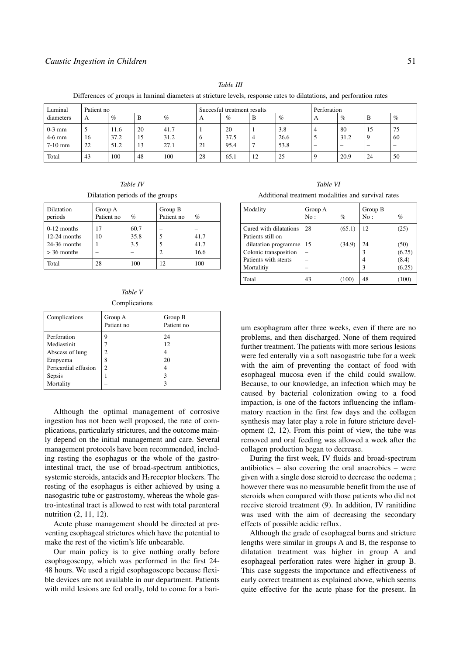| Directories of groups in running unancers at stricture revers, response rates to unanumous, and performion rates |            |      |    |                             |          |      |             |      |                          |                          |    |                          |
|------------------------------------------------------------------------------------------------------------------|------------|------|----|-----------------------------|----------|------|-------------|------|--------------------------|--------------------------|----|--------------------------|
| Luminal                                                                                                          | Patient no |      |    | Succesful treatment results |          |      | Perforation |      |                          |                          |    |                          |
| diameters                                                                                                        | А          | $\%$ | B  | $\%$                        | A        | $\%$ | В           | $\%$ |                          | $\%$                     | B  | $\%$                     |
| $0-3$ mm                                                                                                         | ◡          | 11.6 | 20 | 41.7                        |          | 20   |             | 3.8  |                          | 80                       | 15 | 75                       |
| $4-6$ mm                                                                                                         | 16         | 37.2 | 15 | 31.2                        | $\sigma$ | 37.5 |             | 26.6 |                          | 31.2                     |    | 60                       |
| $7-10$ mm                                                                                                        | 22         | 51.2 | 13 | 27.1                        | 21       | 95.4 |             | 53.8 | $\overline{\phantom{a}}$ | $\overline{\phantom{a}}$ |    | $\overline{\phantom{a}}$ |
| Total                                                                                                            | 43         | 100  | 48 | 100                         | 28       | 65.1 | 12          | 25   |                          | 20.9                     | 24 | 50                       |

*Table III*

Differences of groups in luminal diameters at stricture levels, response rates to dilatations, and perforation rates

*Table IV* Dilatation periods of the groups

| Dilatation<br>periods                                              | Group A<br>Patient no | $\%$                | Group B<br>Patient no | $\%$                 |
|--------------------------------------------------------------------|-----------------------|---------------------|-----------------------|----------------------|
| $0-12$ months<br>$12-24$ months<br>$24-36$ months<br>$> 36$ months | 17<br>10              | 60.7<br>35.8<br>3.5 |                       | 41.7<br>41.7<br>16.6 |
| Total                                                              | 28                    | 100                 | 12                    | 100                  |

|  | Table V |               |
|--|---------|---------------|
|  |         | Complications |

| Complications        | Group A<br>Patient no | Group B<br>Patient no |
|----------------------|-----------------------|-----------------------|
| Perforation          | 9                     | 24                    |
| Mediastinit          |                       | 12                    |
| Abscess of lung      | 2                     | 4                     |
| Empyema              | 8                     | 20                    |
| Pericardial effusion | $\overline{c}$        | 4                     |
| Sepsis               |                       | 3                     |
| Mortality            |                       | ٩                     |

Although the optimal management of corrosive ingestion has not been well proposed, the rate of complications, particularly strictures, and the outcome mainly depend on the initial management and care. Several management protocols have been recommended, including resting the esophagus or the whole of the gastrointestinal tract, the use of broad-spectrum antibiotics, systemic steroids, antacids and  $H_2$  receptor blockers. The resting of the esophagus is either achieved by using a nasogastric tube or gastrostomy, whereas the whole gastro-intestinal tract is allowed to rest with total parenteral nutrition (2, 11, 12).

Acute phase management should be directed at preventing esophageal strictures which have the potential to make the rest of the victim's life unbearable.

Our main policy is to give nothing orally before esophagoscopy, which was performed in the first 24- 48 hours. We used a rigid esophagoscope because flexible devices are not available in our department. Patients with mild lesions are fed orally, told to come for a bari-

*Table VI* Additional treatment modalities and survival rates

| Modality                                    | Group A<br>No: | $\mathcal{O}_0$ | Group B<br>No: | $\%$   |
|---------------------------------------------|----------------|-----------------|----------------|--------|
| Cured with dilatations<br>Patients still on | 28             | (65.1)          | 12             | (25)   |
| dilatation programme                        | 15             | (34.9)          | 24             | (50)   |
| Colonic transposition                       |                |                 | 3              | (6.25) |
| Patients with stents                        |                |                 | 4              | (8.4)  |
| Mortalitiy                                  |                |                 | 3              | (6.25) |
| Total                                       | 43             | (100)           | 48             | (100)  |

um esophagram after three weeks, even if there are no problems, and then discharged. None of them required further treatment. The patients with more serious lesions were fed enterally via a soft nasogastric tube for a week with the aim of preventing the contact of food with esophageal mucosa even if the child could swallow. Because, to our knowledge, an infection which may be caused by bacterial colonization owing to a food impaction, is one of the factors influencing the inflammatory reaction in the first few days and the collagen synthesis may later play a role in future stricture development (2, 12). From this point of view, the tube was removed and oral feeding was allowed a week after the collagen production began to decrease.

During the first week, IV fluids and broad-spectrum antibiotics – also covering the oral anaerobics – were given with a single dose steroid to decrease the oedema ; however there was no measurable benefit from the use of steroids when compared with those patients who did not receive steroid treatment (9). In addition, IV ranitidine was used with the aim of decreasing the secondary effects of possible acidic reflux.

Although the grade of esophageal burns and stricture lengths were similar in groups A and B, the response to dilatation treatment was higher in group A and esophageal perforation rates were higher in group B. This case suggests the importance and effectiveness of early correct treatment as explained above, which seems quite effective for the acute phase for the present. In